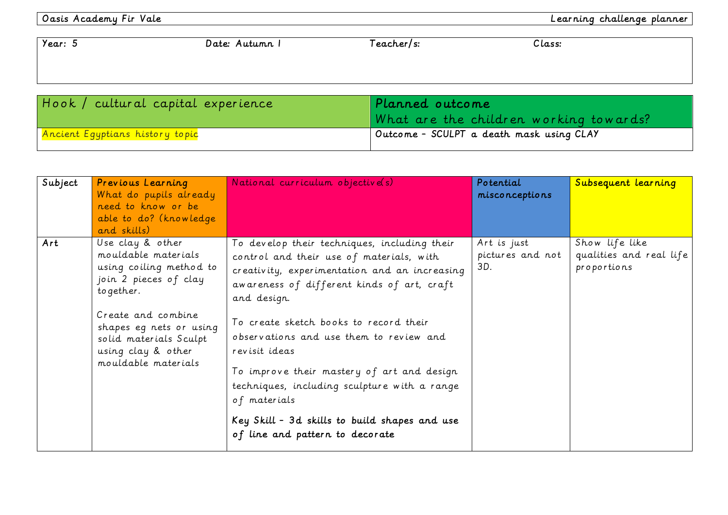Oasis Academy Fir Vale Learning challenge planner

| Year: 5                                        | Date: Autumn I | Teacher/s:                               | Class: |
|------------------------------------------------|----------------|------------------------------------------|--------|
|                                                |                |                                          |        |
|                                                |                |                                          |        |
| $\mid$ Hook $\mid$ cultural capital experience |                | Planned outcome                          |        |
|                                                |                | What are the children working towards?   |        |
| Ancient Egyptians history topic                |                | Outcome - SCULPT a death mask using CLAY |        |

| Subject | Previous Learning<br>What do pupils already<br>need to know or be<br>able to do? (knowledge<br>and skills)                                                                                                                        | National curriculum objective(s)                                                                                                                                                                                                                                                                                                                                                                                                                                                                               | Potential<br>misconceptions            | Subsequent learning                                      |
|---------|-----------------------------------------------------------------------------------------------------------------------------------------------------------------------------------------------------------------------------------|----------------------------------------------------------------------------------------------------------------------------------------------------------------------------------------------------------------------------------------------------------------------------------------------------------------------------------------------------------------------------------------------------------------------------------------------------------------------------------------------------------------|----------------------------------------|----------------------------------------------------------|
| Art     | Use clay & other<br>mouldable materials<br>using coiling method to<br>join 2 pieces of clay<br>to gether.<br>Create and combine<br>shapes eg nets or using<br>solid materials Sculpt<br>using clay & other<br>mouldable materials | To develop their techniques, including their<br>control and their use of materials, with<br>creativity, experimentation and an increasing<br>awareness of different kinds of art, craft<br>and design.<br>To create sketch books to record their<br>observations and use them to review and<br>revisit ideas<br>To improve their mastery of art and design<br>techniques, including sculpture with a range<br>of materials<br>Key Skill - 3d skills to build shapes and use<br>of line and pattern to decorate | Art is just<br>pictures and not<br>3D. | Show life like<br>qualities and real life<br>proportions |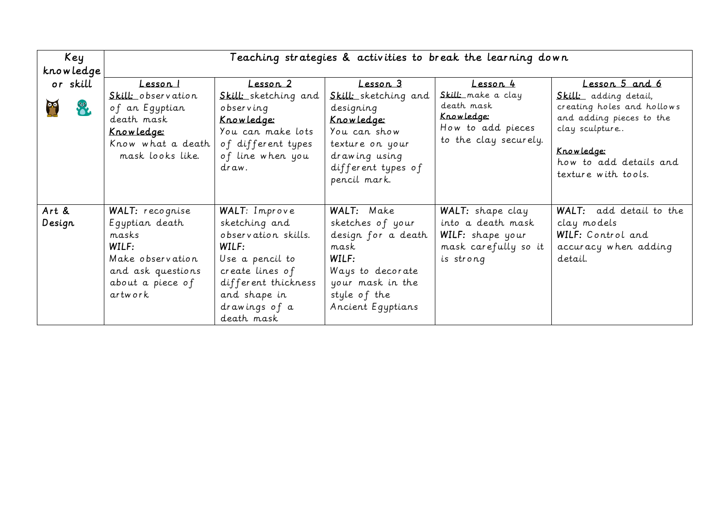| Key       | Teaching strategies & activities to break the learning down                                               |                                                                                                                                |                                                                                                                                                  |                                                                                              |                                                                                                                                                                  |
|-----------|-----------------------------------------------------------------------------------------------------------|--------------------------------------------------------------------------------------------------------------------------------|--------------------------------------------------------------------------------------------------------------------------------------------------|----------------------------------------------------------------------------------------------|------------------------------------------------------------------------------------------------------------------------------------------------------------------|
| knowledge |                                                                                                           |                                                                                                                                |                                                                                                                                                  |                                                                                              |                                                                                                                                                                  |
| or skill  | Lesson I                                                                                                  | <u> Lesson 2</u>                                                                                                               | Lesson 3                                                                                                                                         | Lesson 4                                                                                     | Lesson 5 and 6                                                                                                                                                   |
|           | Skill: observation<br>of an Egyptian<br>death mask<br>Knowledge:<br>Know what a death<br>mask looks like. | Skill: sketching and<br>observing<br><u>Knowledge:</u><br>You can make lots<br>of different types<br>of line when you<br>draw. | Skill: sketching and<br>designing<br><u>Knowledge:</u><br>You can show<br>texture on your<br>drawing using<br>different types of<br>pencil mark. | Skill: make a clay<br>death mask<br>Knowledge:<br>How to add pieces<br>to the clay securely. | Skill: adding detail,<br>creating holes and hollows<br>and adding pieces to the<br>clay sculpture<br>Knowledge:<br>how to add details and<br>texture with tools. |
| Art &     | WALT: recognise                                                                                           | WALT: Improve                                                                                                                  | WALT: Make                                                                                                                                       | WALT: shape clay                                                                             | WALT: add detail to the                                                                                                                                          |
| Design    | Egyptian death                                                                                            | sketching and                                                                                                                  | sketches of your                                                                                                                                 | into a death mask                                                                            | clay models                                                                                                                                                      |
|           | m.a.sk.s                                                                                                  | observation skills.                                                                                                            | design for a death                                                                                                                               | WILF: shape your                                                                             | WILF: Control and                                                                                                                                                |
|           | WILF:                                                                                                     | WILF:                                                                                                                          | mask                                                                                                                                             | mask carefully so it                                                                         | accuracy when adding                                                                                                                                             |
|           | Make observation                                                                                          | Use a pencil to                                                                                                                | WILF:                                                                                                                                            | is strong                                                                                    | detail.                                                                                                                                                          |
|           | and ask questions                                                                                         | create lines of                                                                                                                | Ways to decorate                                                                                                                                 |                                                                                              |                                                                                                                                                                  |
|           | about a piece of                                                                                          | different thickness                                                                                                            | your mask in the                                                                                                                                 |                                                                                              |                                                                                                                                                                  |
|           | artwork                                                                                                   | and shape in                                                                                                                   | style of the                                                                                                                                     |                                                                                              |                                                                                                                                                                  |
|           |                                                                                                           | drawings of a                                                                                                                  | Ancient Eqyptians                                                                                                                                |                                                                                              |                                                                                                                                                                  |
|           |                                                                                                           | death mask                                                                                                                     |                                                                                                                                                  |                                                                                              |                                                                                                                                                                  |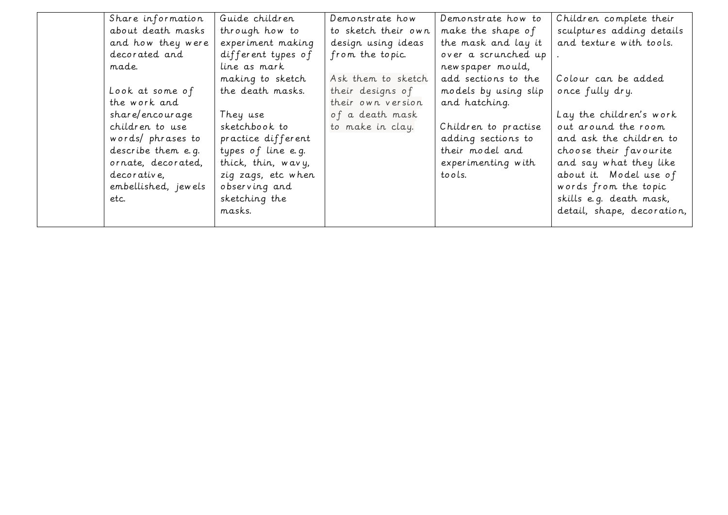| Share information   | Guide children     | Demonstrate how     | Demonstrate how to   | Children complete their    |
|---------------------|--------------------|---------------------|----------------------|----------------------------|
| about death masks   | through how to     | to sketch their own | make the shape of    | sculptures adding details  |
| and how they were   | experiment making  | design using ideas  | the mask and lay it  | and texture with tools.    |
| decorated and       | different types of | from the topic.     | over a scrunched up  |                            |
| made.               | line as mark       |                     | new spaper mould,    |                            |
|                     | making to sketch   | Ask them to sketch  | add sections to the  | Colour can be added        |
| Look at some of     | the death masks.   | their designs of    | models by using slip | once fully dry.            |
| the work and        |                    | their own version   | and hatching.        |                            |
| shar e/encourage    | They use           | of a death mask     |                      | Lay the children's work    |
| children to use     | sketchbook to      | to make in clay.    | Children to practise | out around the room        |
| words/ phrases to   | practice different |                     | adding sections to   | and ask the children to    |
| describe them e.g.  | types of line e.g. |                     | their model and      | choose their favourite     |
| ornate, decorated,  | thick, thin, wavy, |                     | experimenting with   | and say what they like     |
| decorative,         | zig zags, etc when |                     | to o ls.             | about it. Model use of     |
| embellished, jewels | observing and      |                     |                      | words from the topic       |
| etc.                | sketching the      |                     |                      | skills e.g. death mask,    |
|                     | masks.             |                     |                      | detail, shape, decoration, |
|                     |                    |                     |                      |                            |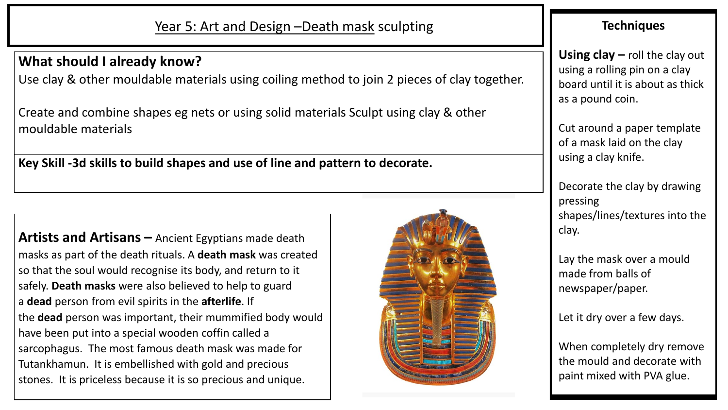## **What should I already know?**

Use clay & other mouldable materials using coiling method to join 2 pieces of clay together.

Create and combine shapes eg nets or using solid materials Sculpt using clay & other mouldable materials

**Key Skill -3d skills to build shapes and use of line and pattern to decorate.**

**Artists and Artisans –** Ancient Egyptians made death masks as part of the death rituals. A **death mask** was created so that the soul would recognise its body, and return to it safely. **Death masks** were also believed to help to guard a **dead** person from evil spirits in the **afterlife**. If the **dead** person was important, their mummified body would have been put into a special wooden coffin called a sarcophagus. The most famous death mask was made for Tutankhamun. It is embellished with gold and precious stones. It is priceless because it is so precious and unique.



## **Techniques**

**Using clay –** roll the clay out using a rolling pin on a clay board until it is about as thick as a pound coin.

Cut around a paper template of a mask laid on the clay using a clay knife.

Decorate the clay by drawing pressing shapes/lines/textures into the clay.

Lay the mask over a mould made from balls of newspaper/paper.

Let it dry over a few days.

When completely dry remove the mould and decorate with paint mixed with PVA glue.